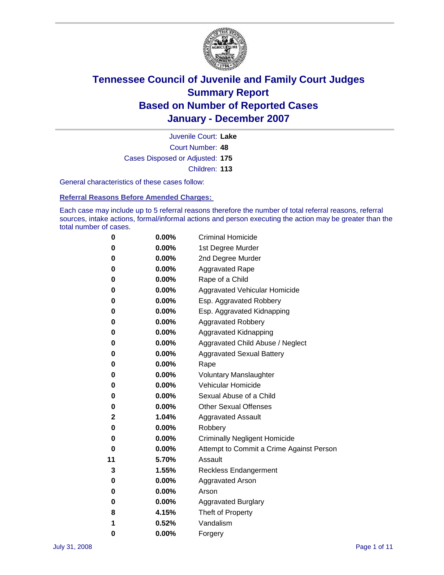

Court Number: **48** Juvenile Court: **Lake** Cases Disposed or Adjusted: **175** Children: **113**

General characteristics of these cases follow:

**Referral Reasons Before Amended Charges:** 

Each case may include up to 5 referral reasons therefore the number of total referral reasons, referral sources, intake actions, formal/informal actions and person executing the action may be greater than the total number of cases.

| 0  | 0.00%    | <b>Criminal Homicide</b>                 |
|----|----------|------------------------------------------|
| 0  | 0.00%    | 1st Degree Murder                        |
| 0  | $0.00\%$ | 2nd Degree Murder                        |
| 0  | 0.00%    | <b>Aggravated Rape</b>                   |
| 0  | 0.00%    | Rape of a Child                          |
| 0  | 0.00%    | Aggravated Vehicular Homicide            |
| 0  | 0.00%    | Esp. Aggravated Robbery                  |
| 0  | 0.00%    | Esp. Aggravated Kidnapping               |
| 0  | 0.00%    | <b>Aggravated Robbery</b>                |
| 0  | $0.00\%$ | Aggravated Kidnapping                    |
| 0  | 0.00%    | Aggravated Child Abuse / Neglect         |
| 0  | $0.00\%$ | <b>Aggravated Sexual Battery</b>         |
| 0  | 0.00%    | Rape                                     |
| 0  | 0.00%    | <b>Voluntary Manslaughter</b>            |
| 0  | 0.00%    | Vehicular Homicide                       |
| 0  | 0.00%    | Sexual Abuse of a Child                  |
| 0  | 0.00%    | <b>Other Sexual Offenses</b>             |
| 2  | 1.04%    | <b>Aggravated Assault</b>                |
| 0  | $0.00\%$ | Robbery                                  |
| 0  | 0.00%    | <b>Criminally Negligent Homicide</b>     |
| 0  | 0.00%    | Attempt to Commit a Crime Against Person |
| 11 | 5.70%    | Assault                                  |
| 3  | 1.55%    | <b>Reckless Endangerment</b>             |
| 0  | 0.00%    | <b>Aggravated Arson</b>                  |
| 0  | 0.00%    | Arson                                    |
| 0  | 0.00%    | <b>Aggravated Burglary</b>               |
| 8  | 4.15%    | Theft of Property                        |
| 1  | 0.52%    | Vandalism                                |
| 0  | 0.00%    | Forgery                                  |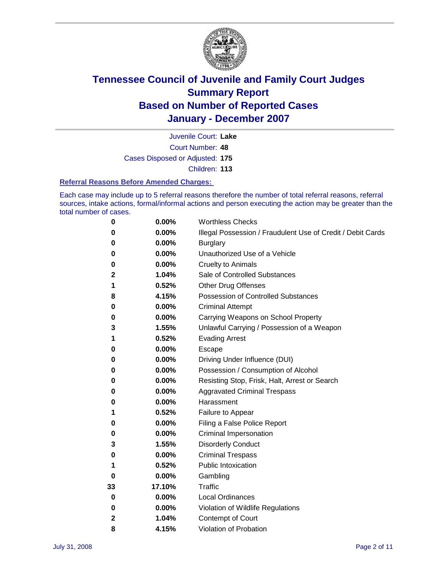

Court Number: **48** Juvenile Court: **Lake** Cases Disposed or Adjusted: **175** Children: **113**

### **Referral Reasons Before Amended Charges:**

Each case may include up to 5 referral reasons therefore the number of total referral reasons, referral sources, intake actions, formal/informal actions and person executing the action may be greater than the total number of cases.

| 0  | 0.00%  | <b>Worthless Checks</b>                                     |
|----|--------|-------------------------------------------------------------|
| 0  | 0.00%  | Illegal Possession / Fraudulent Use of Credit / Debit Cards |
| 0  | 0.00%  | <b>Burglary</b>                                             |
| 0  | 0.00%  | Unauthorized Use of a Vehicle                               |
| 0  | 0.00%  | <b>Cruelty to Animals</b>                                   |
| 2  | 1.04%  | Sale of Controlled Substances                               |
| 1  | 0.52%  | <b>Other Drug Offenses</b>                                  |
| 8  | 4.15%  | Possession of Controlled Substances                         |
| 0  | 0.00%  | <b>Criminal Attempt</b>                                     |
| 0  | 0.00%  | Carrying Weapons on School Property                         |
| 3  | 1.55%  | Unlawful Carrying / Possession of a Weapon                  |
| 1  | 0.52%  | <b>Evading Arrest</b>                                       |
| 0  | 0.00%  | Escape                                                      |
| 0  | 0.00%  | Driving Under Influence (DUI)                               |
| 0  | 0.00%  | Possession / Consumption of Alcohol                         |
| 0  | 0.00%  | Resisting Stop, Frisk, Halt, Arrest or Search               |
| 0  | 0.00%  | <b>Aggravated Criminal Trespass</b>                         |
| 0  | 0.00%  | Harassment                                                  |
| 1  | 0.52%  | Failure to Appear                                           |
| 0  | 0.00%  | Filing a False Police Report                                |
| 0  | 0.00%  | Criminal Impersonation                                      |
| 3  | 1.55%  | <b>Disorderly Conduct</b>                                   |
| 0  | 0.00%  | <b>Criminal Trespass</b>                                    |
| 1  | 0.52%  | <b>Public Intoxication</b>                                  |
| 0  | 0.00%  | Gambling                                                    |
| 33 | 17.10% | Traffic                                                     |
| 0  | 0.00%  | Local Ordinances                                            |
| 0  | 0.00%  | Violation of Wildlife Regulations                           |
| 2  | 1.04%  | Contempt of Court                                           |
| 8  | 4.15%  | Violation of Probation                                      |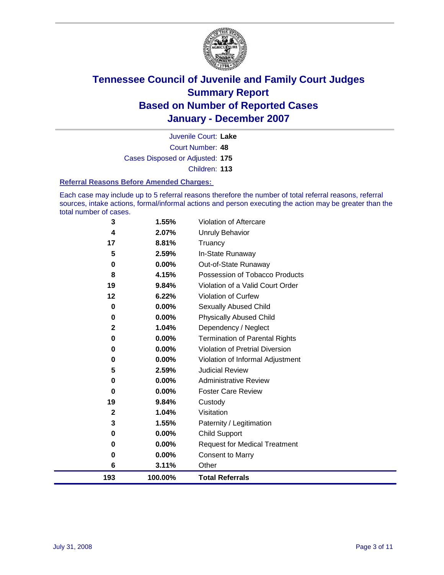

Court Number: **48** Juvenile Court: **Lake** Cases Disposed or Adjusted: **175** Children: **113**

### **Referral Reasons Before Amended Charges:**

Each case may include up to 5 referral reasons therefore the number of total referral reasons, referral sources, intake actions, formal/informal actions and person executing the action may be greater than the total number of cases.

| 193          | 100.00%  | <b>Total Referrals</b>                 |
|--------------|----------|----------------------------------------|
| 6            | 3.11%    | Other                                  |
| 0            | 0.00%    | <b>Consent to Marry</b>                |
| 0            | 0.00%    | <b>Request for Medical Treatment</b>   |
| 0            | 0.00%    | <b>Child Support</b>                   |
| 3            | 1.55%    | Paternity / Legitimation               |
| $\mathbf{2}$ | 1.04%    | Visitation                             |
| 19           | 9.84%    | Custody                                |
| 0            | 0.00%    | <b>Foster Care Review</b>              |
| 0            | 0.00%    | <b>Administrative Review</b>           |
| 5            | 2.59%    | <b>Judicial Review</b>                 |
| 0            | 0.00%    | Violation of Informal Adjustment       |
| 0            | $0.00\%$ | <b>Violation of Pretrial Diversion</b> |
| 0            | 0.00%    | <b>Termination of Parental Rights</b>  |
| $\mathbf{2}$ | 1.04%    | Dependency / Neglect                   |
| $\mathbf 0$  | $0.00\%$ | <b>Physically Abused Child</b>         |
| 0            | 0.00%    | <b>Sexually Abused Child</b>           |
| 12           | 6.22%    | Violation of Curfew                    |
| 19           | 9.84%    | Violation of a Valid Court Order       |
| 8            | 4.15%    | Possession of Tobacco Products         |
| 0            | $0.00\%$ | Out-of-State Runaway                   |
| 5            | 2.59%    | In-State Runaway                       |
| 17           | 8.81%    | Truancy                                |
| 4            | 2.07%    | <b>Unruly Behavior</b>                 |
| 3            | 1.55%    | Violation of Aftercare                 |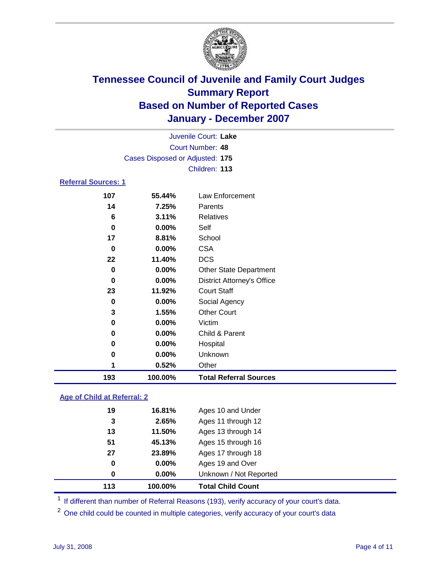

|                            | Juvenile Court: Lake            |                                   |  |  |
|----------------------------|---------------------------------|-----------------------------------|--|--|
|                            |                                 | Court Number: 48                  |  |  |
|                            | Cases Disposed or Adjusted: 175 |                                   |  |  |
|                            |                                 | Children: 113                     |  |  |
| <b>Referral Sources: 1</b> |                                 |                                   |  |  |
| 107                        | 55.44%                          | Law Enforcement                   |  |  |
| 14                         | 7.25%                           | Parents                           |  |  |
| 6                          | 3.11%                           | <b>Relatives</b>                  |  |  |
| $\mathbf 0$                | 0.00%                           | Self                              |  |  |
| 17                         | 8.81%                           | School                            |  |  |
| 0                          | 0.00%                           | <b>CSA</b>                        |  |  |
| 22                         | 11.40%                          | <b>DCS</b>                        |  |  |
| $\mathbf 0$                | 0.00%                           | Other State Department            |  |  |
| 0                          | 0.00%                           | <b>District Attorney's Office</b> |  |  |
| 23                         | 11.92%                          | <b>Court Staff</b>                |  |  |
| 0                          | 0.00%                           | Social Agency                     |  |  |
| 3                          | 1.55%                           | <b>Other Court</b>                |  |  |
| $\mathbf 0$                | 0.00%                           | Victim                            |  |  |
| 0                          | 0.00%                           | Child & Parent                    |  |  |
| 0                          | $0.00\%$                        | Hospital                          |  |  |
| 0                          | 0.00%                           | Unknown                           |  |  |
| 1                          | 0.52%                           | Other                             |  |  |
| 193                        | 100.00%                         | <b>Total Referral Sources</b>     |  |  |

### **Age of Child at Referral: 2**

| 113 | 100.00%    | <b>Total Child Count</b> |  |
|-----|------------|--------------------------|--|
| 0   | $0.00\%$   | Unknown / Not Reported   |  |
| 0   | $0.00\%$   | Ages 19 and Over         |  |
| 27  | 23.89%     | Ages 17 through 18       |  |
| 51  | 45.13%     | Ages 15 through 16       |  |
| 13  | 11.50%     | Ages 13 through 14       |  |
|     | 3<br>2.65% | Ages 11 through 12       |  |
| 19  | 16.81%     | Ages 10 and Under        |  |
|     |            |                          |  |

<sup>1</sup> If different than number of Referral Reasons (193), verify accuracy of your court's data.

One child could be counted in multiple categories, verify accuracy of your court's data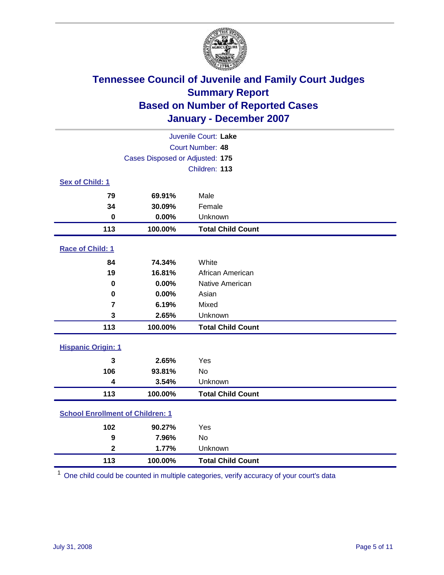

| Juvenile Court: Lake                    |                                 |                          |  |  |  |
|-----------------------------------------|---------------------------------|--------------------------|--|--|--|
|                                         | Court Number: 48                |                          |  |  |  |
|                                         | Cases Disposed or Adjusted: 175 |                          |  |  |  |
|                                         |                                 | Children: 113            |  |  |  |
| Sex of Child: 1                         |                                 |                          |  |  |  |
| 79                                      | 69.91%                          | Male                     |  |  |  |
| 34                                      | 30.09%                          | Female                   |  |  |  |
| $\bf{0}$                                | 0.00%                           | Unknown                  |  |  |  |
| 113                                     | 100.00%                         | <b>Total Child Count</b> |  |  |  |
| <b>Race of Child: 1</b>                 |                                 |                          |  |  |  |
| 84                                      | 74.34%                          | White                    |  |  |  |
| 19                                      | 16.81%                          | African American         |  |  |  |
| 0                                       | 0.00%                           | Native American          |  |  |  |
| 0                                       | 0.00%                           | Asian                    |  |  |  |
| 7                                       | 6.19%                           | Mixed                    |  |  |  |
| 3                                       | 2.65%                           | Unknown                  |  |  |  |
| 113                                     | 100.00%                         | <b>Total Child Count</b> |  |  |  |
| <b>Hispanic Origin: 1</b>               |                                 |                          |  |  |  |
| 3                                       | 2.65%                           | Yes                      |  |  |  |
| 106                                     | 93.81%                          | <b>No</b>                |  |  |  |
| 4                                       | 3.54%                           | Unknown                  |  |  |  |
| 113                                     | 100.00%                         | <b>Total Child Count</b> |  |  |  |
| <b>School Enrollment of Children: 1</b> |                                 |                          |  |  |  |
| 102                                     | 90.27%                          | Yes                      |  |  |  |
| 9                                       | 7.96%                           | No                       |  |  |  |
| $\overline{\mathbf{2}}$                 | 1.77%                           | Unknown                  |  |  |  |
| 113                                     | 100.00%                         | <b>Total Child Count</b> |  |  |  |

One child could be counted in multiple categories, verify accuracy of your court's data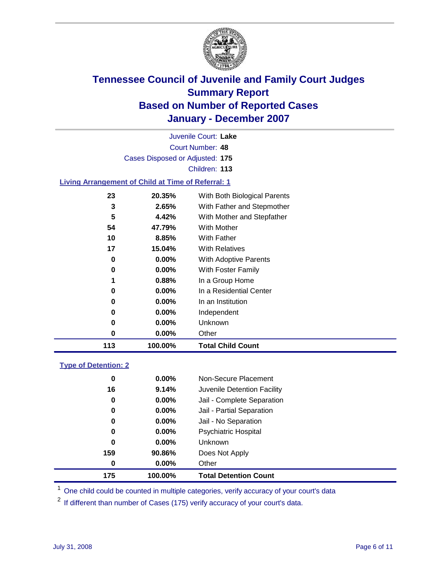

| Juvenile Court: Lake                                      |                                        |                            |  |  |  |  |  |
|-----------------------------------------------------------|----------------------------------------|----------------------------|--|--|--|--|--|
| Court Number: 48                                          |                                        |                            |  |  |  |  |  |
|                                                           | Cases Disposed or Adjusted: 175        |                            |  |  |  |  |  |
|                                                           |                                        | Children: 113              |  |  |  |  |  |
| <b>Living Arrangement of Child at Time of Referral: 1</b> |                                        |                            |  |  |  |  |  |
| 23                                                        | With Both Biological Parents<br>20.35% |                            |  |  |  |  |  |
| 3                                                         | 2.65%                                  | With Father and Stepmother |  |  |  |  |  |
| 5                                                         | 4.42%                                  | With Mother and Stepfather |  |  |  |  |  |
| 54                                                        | With Mother<br>47.79%                  |                            |  |  |  |  |  |
| 10                                                        | <b>With Father</b><br>8.85%            |                            |  |  |  |  |  |
| 17                                                        | 15.04%                                 | <b>With Relatives</b>      |  |  |  |  |  |
| 0                                                         | $0.00\%$                               | With Adoptive Parents      |  |  |  |  |  |
| 0                                                         | $0.00\%$                               | <b>With Foster Family</b>  |  |  |  |  |  |

 **0.88%** In a Group Home **0.00%** In a Residential Center

 **0.00%** In an Institution **0.00%** Independent **0.00%** Unknown

**100.00% Total Child Count**

**0.00%** Other

### **Type of Detention: 2**

| 175 | 100.00%  | <b>Total Detention Count</b> |
|-----|----------|------------------------------|
| 0   | 0.00%    | Other                        |
| 159 | 90.86%   | Does Not Apply               |
| 0   | $0.00\%$ | <b>Unknown</b>               |
| 0   | 0.00%    | <b>Psychiatric Hospital</b>  |
| 0   | $0.00\%$ | Jail - No Separation         |
| 0   | 0.00%    | Jail - Partial Separation    |
| 0   | $0.00\%$ | Jail - Complete Separation   |
| 16  | 9.14%    | Juvenile Detention Facility  |
| 0   | 0.00%    | Non-Secure Placement         |
|     |          |                              |

<sup>1</sup> One child could be counted in multiple categories, verify accuracy of your court's data

<sup>2</sup> If different than number of Cases (175) verify accuracy of your court's data.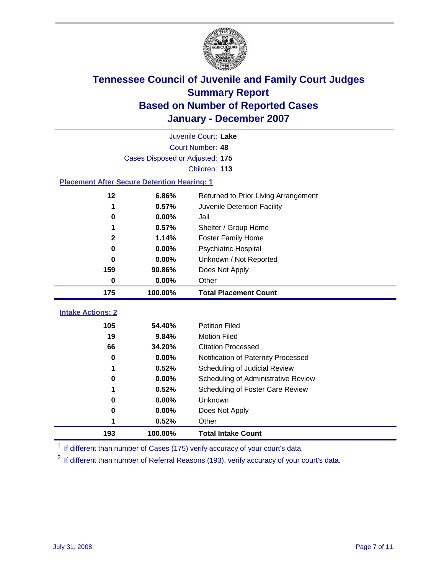

| Juvenile Court: Lake                               |                                 |                                                  |  |  |  |
|----------------------------------------------------|---------------------------------|--------------------------------------------------|--|--|--|
|                                                    | Court Number: 48                |                                                  |  |  |  |
|                                                    | Cases Disposed or Adjusted: 175 |                                                  |  |  |  |
|                                                    |                                 | Children: 113                                    |  |  |  |
| <b>Placement After Secure Detention Hearing: 1</b> |                                 |                                                  |  |  |  |
| 12                                                 | 6.86%                           | Returned to Prior Living Arrangement             |  |  |  |
| 1                                                  | 0.57%                           | Juvenile Detention Facility                      |  |  |  |
| 0                                                  | 0.00%                           | Jail                                             |  |  |  |
| 1                                                  | 0.57%                           | Shelter / Group Home                             |  |  |  |
| $\mathbf{2}$                                       | 1.14%                           | <b>Foster Family Home</b>                        |  |  |  |
| $\bf{0}$                                           | 0.00%                           | Psychiatric Hospital                             |  |  |  |
| 0                                                  | 0.00%                           | Unknown / Not Reported                           |  |  |  |
| 159                                                | 90.86%                          | Does Not Apply                                   |  |  |  |
| 0                                                  | 0.00%                           | Other                                            |  |  |  |
|                                                    |                                 |                                                  |  |  |  |
| 175                                                | 100.00%                         | <b>Total Placement Count</b>                     |  |  |  |
|                                                    |                                 |                                                  |  |  |  |
| <b>Intake Actions: 2</b>                           |                                 |                                                  |  |  |  |
| 105                                                | 54.40%                          | <b>Petition Filed</b>                            |  |  |  |
| 19<br>66                                           | 9.84%<br>34.20%                 | <b>Motion Filed</b><br><b>Citation Processed</b> |  |  |  |
| $\bf{0}$                                           | 0.00%                           | Notification of Paternity Processed              |  |  |  |
| 1                                                  | 0.52%                           | Scheduling of Judicial Review                    |  |  |  |
| 0                                                  | 0.00%                           | Scheduling of Administrative Review              |  |  |  |
| 1                                                  | 0.52%                           | Scheduling of Foster Care Review                 |  |  |  |
| 0                                                  | 0.00%                           | Unknown                                          |  |  |  |
| 0                                                  | 0.00%                           | Does Not Apply                                   |  |  |  |
| 1                                                  | 0.52%                           | Other                                            |  |  |  |

<sup>1</sup> If different than number of Cases (175) verify accuracy of your court's data.

<sup>2</sup> If different than number of Referral Reasons (193), verify accuracy of your court's data.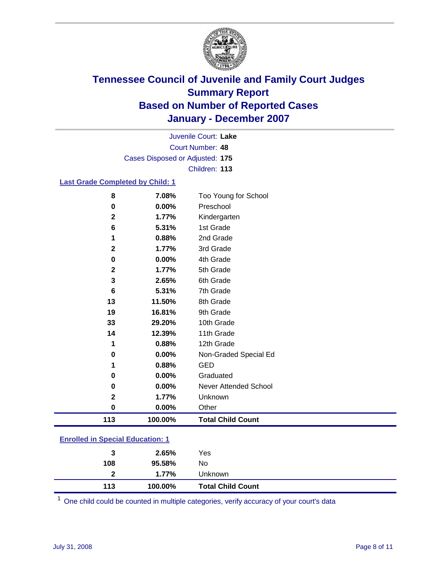

Court Number: **48** Juvenile Court: **Lake** Cases Disposed or Adjusted: **175** Children: **113**

### **Last Grade Completed by Child: 1**

| 8            | 7.08%   | Too Young for School     |
|--------------|---------|--------------------------|
| 0            | 0.00%   | Preschool                |
| $\mathbf{2}$ | 1.77%   | Kindergarten             |
| 6            | 5.31%   | 1st Grade                |
| 1            | 0.88%   | 2nd Grade                |
| $\mathbf{2}$ | 1.77%   | 3rd Grade                |
| 0            | 0.00%   | 4th Grade                |
| $\mathbf{2}$ | 1.77%   | 5th Grade                |
| 3            | 2.65%   | 6th Grade                |
| 6            | 5.31%   | 7th Grade                |
| 13           | 11.50%  | 8th Grade                |
| 19           | 16.81%  | 9th Grade                |
| 33           | 29.20%  | 10th Grade               |
| 14           | 12.39%  | 11th Grade               |
| 1            | 0.88%   | 12th Grade               |
| 0            | 0.00%   | Non-Graded Special Ed    |
| 1            | 0.88%   | <b>GED</b>               |
| 0            | 0.00%   | Graduated                |
| 0            | 0.00%   | Never Attended School    |
| $\mathbf{2}$ | 1.77%   | Unknown                  |
| 0            | 0.00%   | Other                    |
| 113          | 100.00% | <b>Total Child Count</b> |

### **Enrolled in Special Education: 1**

| 113 | 100.00% | <b>Total Child Count</b> |  |
|-----|---------|--------------------------|--|
| 2   | 1.77%   | Unknown                  |  |
| 108 | 95.58%  | No                       |  |
| 3   | 2.65%   | Yes                      |  |
|     |         |                          |  |

<sup>1</sup> One child could be counted in multiple categories, verify accuracy of your court's data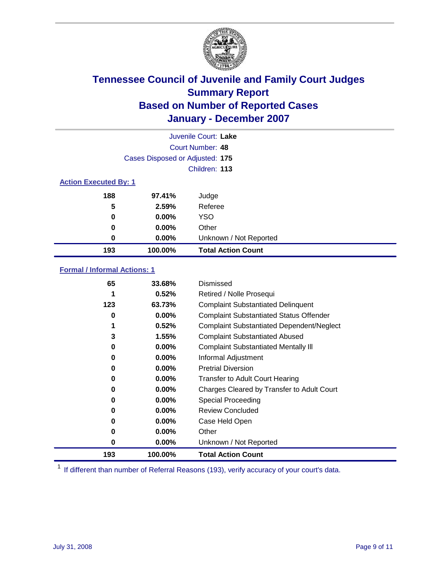

| Juvenile Court: Lake         |                                 |                           |  |  |  |
|------------------------------|---------------------------------|---------------------------|--|--|--|
|                              | Court Number: 48                |                           |  |  |  |
|                              | Cases Disposed or Adjusted: 175 |                           |  |  |  |
|                              |                                 | Children: 113             |  |  |  |
| <b>Action Executed By: 1</b> |                                 |                           |  |  |  |
| 188                          | 97.41%                          | Judge                     |  |  |  |
| 5                            | 2.59%                           | Referee                   |  |  |  |
| 0                            | $0.00\%$                        | <b>YSO</b>                |  |  |  |
| 0                            | $0.00\%$                        | Other                     |  |  |  |
| 0                            | $0.00\%$                        | Unknown / Not Reported    |  |  |  |
| 193                          | 100.00%                         | <b>Total Action Count</b> |  |  |  |

### **Formal / Informal Actions: 1**

| 65  | 33.68%   | Dismissed                                        |
|-----|----------|--------------------------------------------------|
|     | 0.52%    | Retired / Nolle Prosequi                         |
| 123 | 63.73%   | <b>Complaint Substantiated Delinquent</b>        |
| 0   | $0.00\%$ | <b>Complaint Substantiated Status Offender</b>   |
| 1   | 0.52%    | <b>Complaint Substantiated Dependent/Neglect</b> |
| 3   | 1.55%    | <b>Complaint Substantiated Abused</b>            |
| 0   | $0.00\%$ | <b>Complaint Substantiated Mentally III</b>      |
| 0   | $0.00\%$ | Informal Adjustment                              |
| 0   | $0.00\%$ | <b>Pretrial Diversion</b>                        |
| 0   | $0.00\%$ | <b>Transfer to Adult Court Hearing</b>           |
| 0   | $0.00\%$ | Charges Cleared by Transfer to Adult Court       |
| 0   | $0.00\%$ | Special Proceeding                               |
| 0   | $0.00\%$ | <b>Review Concluded</b>                          |
| 0   | $0.00\%$ | Case Held Open                                   |
| 0   | $0.00\%$ | Other                                            |
| 0   | $0.00\%$ | Unknown / Not Reported                           |
| 193 | 100.00%  | <b>Total Action Count</b>                        |

<sup>1</sup> If different than number of Referral Reasons (193), verify accuracy of your court's data.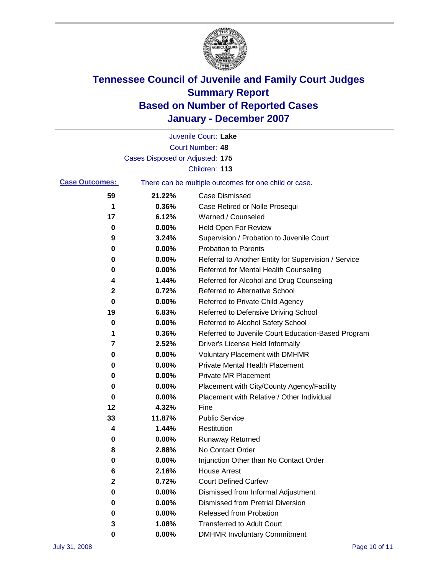

|                       |                                 | Juvenile Court: Lake                                  |
|-----------------------|---------------------------------|-------------------------------------------------------|
|                       |                                 | Court Number: 48                                      |
|                       | Cases Disposed or Adjusted: 175 |                                                       |
|                       |                                 | Children: 113                                         |
| <b>Case Outcomes:</b> |                                 | There can be multiple outcomes for one child or case. |
| 59                    | 21.22%                          | <b>Case Dismissed</b>                                 |
| 1                     | 0.36%                           | Case Retired or Nolle Prosequi                        |
| 17                    | 6.12%                           | Warned / Counseled                                    |
| 0                     | 0.00%                           | <b>Held Open For Review</b>                           |
| 9                     | 3.24%                           | Supervision / Probation to Juvenile Court             |
| 0                     | 0.00%                           | <b>Probation to Parents</b>                           |
| 0                     | 0.00%                           | Referral to Another Entity for Supervision / Service  |
| 0                     | 0.00%                           | Referred for Mental Health Counseling                 |
| 4                     | 1.44%                           | Referred for Alcohol and Drug Counseling              |
| 2                     | 0.72%                           | Referred to Alternative School                        |
| 0                     | 0.00%                           | Referred to Private Child Agency                      |
| 19                    | 6.83%                           | Referred to Defensive Driving School                  |
| 0                     | 0.00%                           | Referred to Alcohol Safety School                     |
| 1                     | 0.36%                           | Referred to Juvenile Court Education-Based Program    |
| 7                     | 2.52%                           | Driver's License Held Informally                      |
| 0                     | 0.00%                           | <b>Voluntary Placement with DMHMR</b>                 |
| 0                     | 0.00%                           | Private Mental Health Placement                       |
| 0                     | 0.00%                           | <b>Private MR Placement</b>                           |
| 0                     | 0.00%                           | Placement with City/County Agency/Facility            |
| 0                     | 0.00%                           | Placement with Relative / Other Individual            |
| 12                    | 4.32%                           | Fine                                                  |
| 33                    | 11.87%                          | <b>Public Service</b>                                 |
| 4                     | 1.44%                           | Restitution                                           |
| 0                     | 0.00%                           | <b>Runaway Returned</b>                               |
| 8                     | 2.88%                           | No Contact Order                                      |
| 0                     | 0.00%                           | Injunction Other than No Contact Order                |
| 6                     | 2.16%                           | <b>House Arrest</b>                                   |
| 2                     | 0.72%                           | <b>Court Defined Curfew</b>                           |
| 0                     | 0.00%                           | Dismissed from Informal Adjustment                    |
| 0                     | 0.00%                           | <b>Dismissed from Pretrial Diversion</b>              |
| 0                     | 0.00%                           | Released from Probation                               |
| 3                     | 1.08%                           | <b>Transferred to Adult Court</b>                     |
| 0                     | 0.00%                           | <b>DMHMR Involuntary Commitment</b>                   |